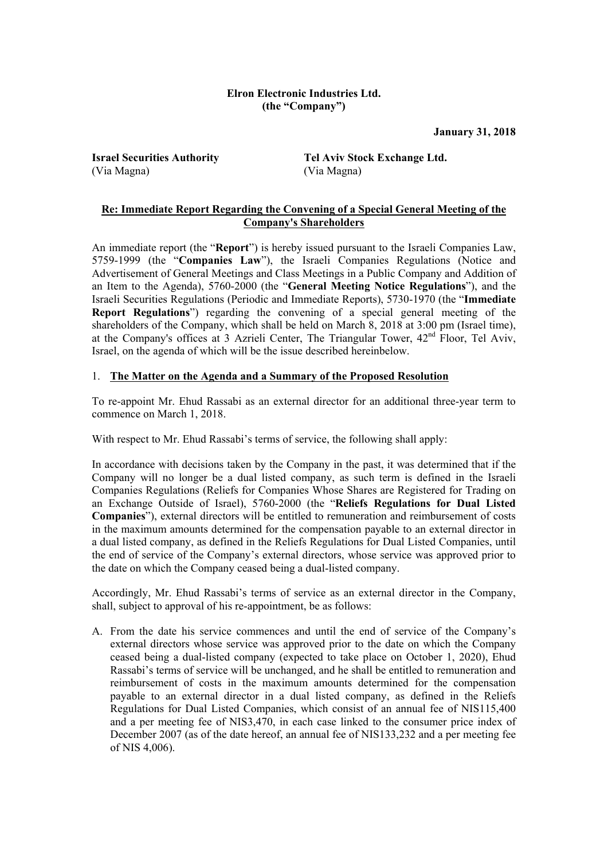#### **Elron Electronic Industries Ltd. (the "Company")**

**January 31, 2018**

(Via Magna) (Via Magna)

**Israel Securities Authority Tel Aviv Stock Exchange Ltd.**

## **Re: Immediate Report Regarding the Convening of a Special General Meeting of the Company's Shareholders**

An immediate report (the "**Report**") is hereby issued pursuant to the Israeli Companies Law, 5759-1999 (the "**Companies Law**"), the Israeli Companies Regulations (Notice and Advertisement of General Meetings and Class Meetings in a Public Company and Addition of an Item to the Agenda), 5760-2000 (the "**General Meeting Notice Regulations**"), and the Israeli Securities Regulations (Periodic and Immediate Reports), 5730-1970 (the "**Immediate Report Regulations**") regarding the convening of a special general meeting of the shareholders of the Company, which shall be held on March 8, 2018 at 3:00 pm (Israel time), at the Company's offices at 3 Azrieli Center, The Triangular Tower, 42nd Floor, Tel Aviv, Israel, on the agenda of which will be the issue described hereinbelow.

# 1. **The Matter on the Agenda and a Summary of the Proposed Resolution**

To re-appoint Mr. Ehud Rassabi as an external director for an additional three-year term to commence on March 1, 2018.

With respect to Mr. Ehud Rassabi's terms of service, the following shall apply:

In accordance with decisions taken by the Company in the past, it was determined that if the Company will no longer be a dual listed company, as such term is defined in the Israeli Companies Regulations (Reliefs for Companies Whose Shares are Registered for Trading on an Exchange Outside of Israel), 5760-2000 (the "**Reliefs Regulations for Dual Listed Companies**"), external directors will be entitled to remuneration and reimbursement of costs in the maximum amounts determined for the compensation payable to an external director in a dual listed company, as defined in the Reliefs Regulations for Dual Listed Companies, until the end of service of the Company's external directors, whose service was approved prior to the date on which the Company ceased being a dual-listed company.

Accordingly, Mr. Ehud Rassabi's terms of service as an external director in the Company, shall, subject to approval of his re-appointment, be as follows:

A. From the date his service commences and until the end of service of the Company's external directors whose service was approved prior to the date on which the Company ceased being a dual-listed company (expected to take place on October 1, 2020), Ehud Rassabi's terms of service will be unchanged, and he shall be entitled to remuneration and reimbursement of costs in the maximum amounts determined for the compensation payable to an external director in a dual listed company, as defined in the Reliefs Regulations for Dual Listed Companies, which consist of an annual fee of NIS115,400 and a per meeting fee of NIS3,470, in each case linked to the consumer price index of December 2007 (as of the date hereof, an annual fee of NIS133,232 and a per meeting fee of NIS 4,006).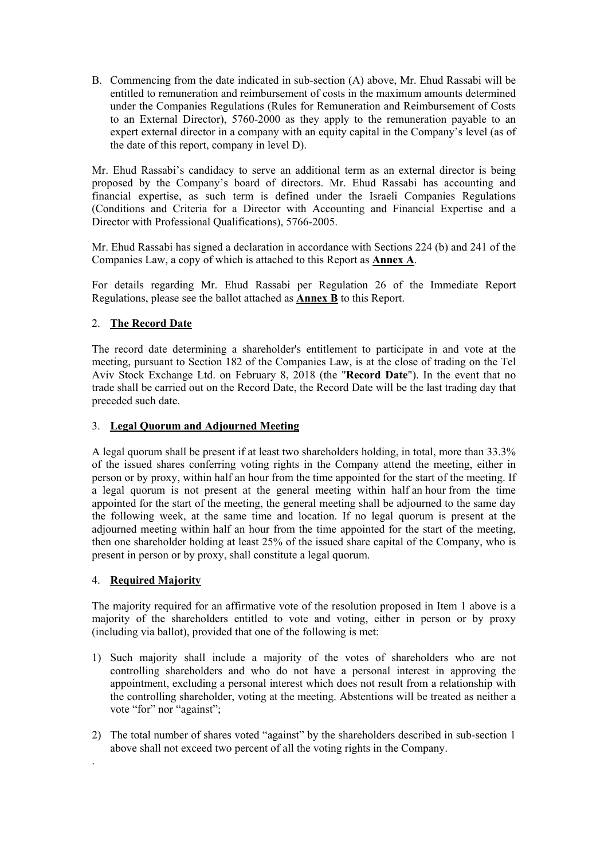B. Commencing from the date indicated in sub-section (A) above, Mr. Ehud Rassabi will be entitled to remuneration and reimbursement of costs in the maximum amounts determined under the Companies Regulations (Rules for Remuneration and Reimbursement of Costs to an External Director), 5760-2000 as they apply to the remuneration payable to an expert external director in a company with an equity capital in the Company's level (as of the date of this report, company in level D).

Mr. Ehud Rassabi's candidacy to serve an additional term as an external director is being proposed by the Company's board of directors. Mr. Ehud Rassabi has accounting and financial expertise, as such term is defined under the Israeli Companies Regulations (Conditions and Criteria for a Director with Accounting and Financial Expertise and a Director with Professional Qualifications), 5766-2005.

Mr. Ehud Rassabi has signed a declaration in accordance with Sections 224 (b) and 241 of the Companies Law, a copy of which is attached to this Report as **Annex A**.

For details regarding Mr. Ehud Rassabi per Regulation 26 of the Immediate Report Regulations, please see the ballot attached as **Annex B** to this Report.

# 2. **The Record Date**

The record date determining a shareholder's entitlement to participate in and vote at the meeting, pursuant to Section 182 of the Companies Law, is at the close of trading on the Tel Aviv Stock Exchange Ltd. on February 8, 2018 (the "**Record Date**"). In the event that no trade shall be carried out on the Record Date, the Record Date will be the last trading day that preceded such date.

## 3. **Legal Quorum and Adjourned Meeting**

A legal quorum shall be present if at least two shareholders holding, in total, more than 33.3% of the issued shares conferring voting rights in the Company attend the meeting, either in person or by proxy, within half an hour from the time appointed for the start of the meeting. If a legal quorum is not present at the general meeting within half an hour from the time appointed for the start of the meeting, the general meeting shall be adjourned to the same day the following week, at the same time and location. If no legal quorum is present at the adjourned meeting within half an hour from the time appointed for the start of the meeting, then one shareholder holding at least 25% of the issued share capital of the Company, who is present in person or by proxy, shall constitute a legal quorum.

# 4. **Required Majority**

.

The majority required for an affirmative vote of the resolution proposed in Item 1 above is a majority of the shareholders entitled to vote and voting, either in person or by proxy (including via ballot), provided that one of the following is met:

- 1) Such majority shall include a majority of the votes of shareholders who are not controlling shareholders and who do not have a personal interest in approving the appointment, excluding a personal interest which does not result from a relationship with the controlling shareholder, voting at the meeting. Abstentions will be treated as neither a vote "for" nor "against";
- 2) The total number of shares voted "against" by the shareholders described in sub-section 1 above shall not exceed two percent of all the voting rights in the Company.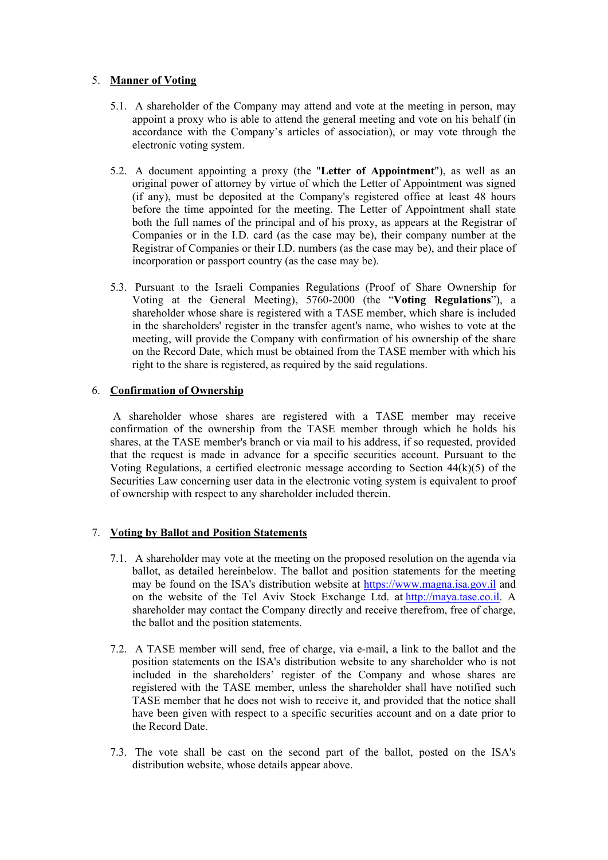## 5. **Manner of Voting**

- 5.1. A shareholder of the Company may attend and vote at the meeting in person, may appoint a proxy who is able to attend the general meeting and vote on his behalf (in accordance with the Company's articles of association), or may vote through the electronic voting system.
- 5.2. A document appointing a proxy (the "**Letter of Appointment**"), as well as an original power of attorney by virtue of which the Letter of Appointment was signed (if any), must be deposited at the Company's registered office at least 48 hours before the time appointed for the meeting. The Letter of Appointment shall state both the full names of the principal and of his proxy, as appears at the Registrar of Companies or in the I.D. card (as the case may be), their company number at the Registrar of Companies or their I.D. numbers (as the case may be), and their place of incorporation or passport country (as the case may be).
- 5.3. Pursuant to the Israeli Companies Regulations (Proof of Share Ownership for Voting at the General Meeting), 5760-2000 (the "**Voting Regulations**"), a shareholder whose share is registered with a TASE member, which share is included in the shareholders' register in the transfer agent's name, who wishes to vote at the meeting, will provide the Company with confirmation of his ownership of the share on the Record Date, which must be obtained from the TASE member with which his right to the share is registered, as required by the said regulations.

## 6. **Confirmation of Ownership**

 A shareholder whose shares are registered with a TASE member may receive confirmation of the ownership from the TASE member through which he holds his shares, at the TASE member's branch or via mail to his address, if so requested, provided that the request is made in advance for a specific securities account. Pursuant to the Voting Regulations, a certified electronic message according to Section 44(k)(5) of the Securities Law concerning user data in the electronic voting system is equivalent to proof of ownership with respect to any shareholder included therein.

# 7. **Voting by Ballot and Position Statements**

- 7.1. A shareholder may vote at the meeting on the proposed resolution on the agenda via ballot, as detailed hereinbelow. The ballot and position statements for the meeting may be found on the ISA's distribution website at https://www.magna.isa.gov.il and on the website of the Tel Aviv Stock Exchange Ltd. at http://maya.tase.co.il. A shareholder may contact the Company directly and receive therefrom, free of charge, the ballot and the position statements.
- 7.2. A TASE member will send, free of charge, via e-mail, a link to the ballot and the position statements on the ISA's distribution website to any shareholder who is not included in the shareholders' register of the Company and whose shares are registered with the TASE member, unless the shareholder shall have notified such TASE member that he does not wish to receive it, and provided that the notice shall have been given with respect to a specific securities account and on a date prior to the Record Date.
- 7.3. The vote shall be cast on the second part of the ballot, posted on the ISA's distribution website, whose details appear above.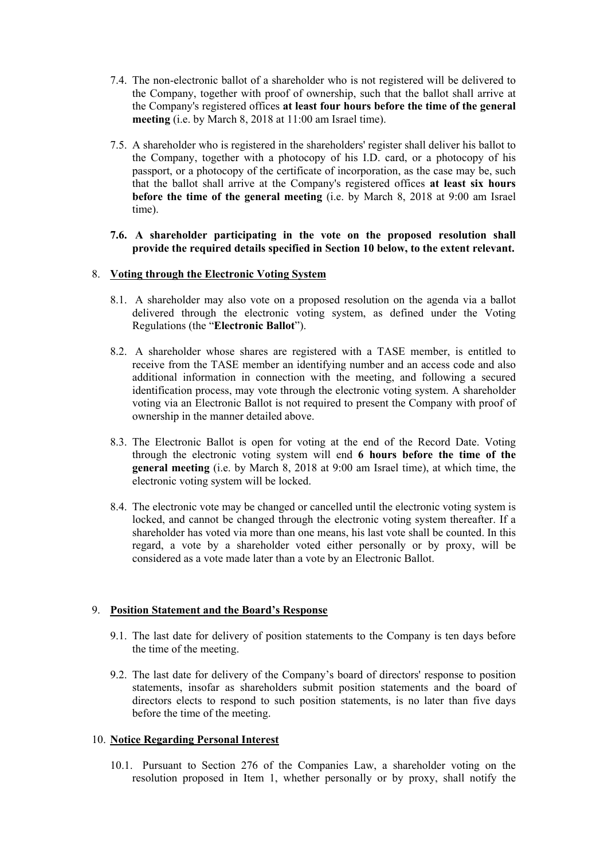- 7.4. The non-electronic ballot of a shareholder who is not registered will be delivered to the Company, together with proof of ownership, such that the ballot shall arrive at the Company's registered offices **at least four hours before the time of the general meeting** (i.e. by March 8, 2018 at 11:00 am Israel time).
- 7.5. A shareholder who is registered in the shareholders' register shall deliver his ballot to the Company, together with a photocopy of his I.D. card, or a photocopy of his passport, or a photocopy of the certificate of incorporation, as the case may be, such that the ballot shall arrive at the Company's registered offices **at least six hours before the time of the general meeting** (i.e. by March 8, 2018 at 9:00 am Israel time).
- **7.6. A shareholder participating in the vote on the proposed resolution shall provide the required details specified in Section 10 below, to the extent relevant.**

#### 8. **Voting through the Electronic Voting System**

- 8.1. A shareholder may also vote on a proposed resolution on the agenda via a ballot delivered through the electronic voting system, as defined under the Voting Regulations (the "**Electronic Ballot**").
- 8.2. A shareholder whose shares are registered with a TASE member, is entitled to receive from the TASE member an identifying number and an access code and also additional information in connection with the meeting, and following a secured identification process, may vote through the electronic voting system. A shareholder voting via an Electronic Ballot is not required to present the Company with proof of ownership in the manner detailed above.
- 8.3. The Electronic Ballot is open for voting at the end of the Record Date. Voting through the electronic voting system will end **6 hours before the time of the general meeting** (i.e. by March 8, 2018 at 9:00 am Israel time), at which time, the electronic voting system will be locked.
- 8.4. The electronic vote may be changed or cancelled until the electronic voting system is locked, and cannot be changed through the electronic voting system thereafter. If a shareholder has voted via more than one means, his last vote shall be counted. In this regard, a vote by a shareholder voted either personally or by proxy, will be considered as a vote made later than a vote by an Electronic Ballot.

#### 9. **Position Statement and the Board's Response**

- 9.1. The last date for delivery of position statements to the Company is ten days before the time of the meeting.
- 9.2. The last date for delivery of the Company's board of directors' response to position statements, insofar as shareholders submit position statements and the board of directors elects to respond to such position statements, is no later than five days before the time of the meeting.

#### 10. **Notice Regarding Personal Interest**

10.1. Pursuant to Section 276 of the Companies Law, a shareholder voting on the resolution proposed in Item 1, whether personally or by proxy, shall notify the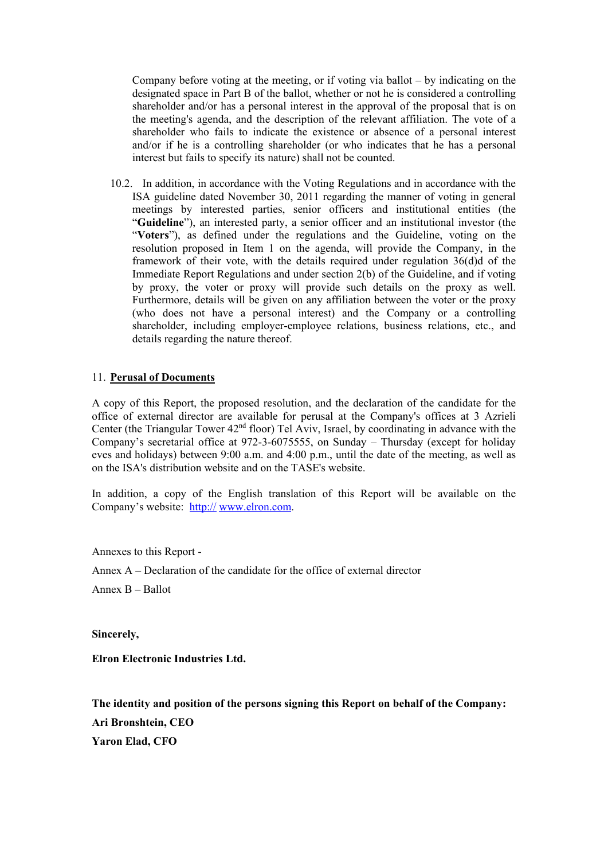Company before voting at the meeting, or if voting via ballot  $-$  by indicating on the designated space in Part B of the ballot, whether or not he is considered a controlling shareholder and/or has a personal interest in the approval of the proposal that is on the meeting's agenda, and the description of the relevant affiliation. The vote of a shareholder who fails to indicate the existence or absence of a personal interest and/or if he is a controlling shareholder (or who indicates that he has a personal interest but fails to specify its nature) shall not be counted.

10.2. In addition, in accordance with the Voting Regulations and in accordance with the ISA guideline dated November 30, 2011 regarding the manner of voting in general meetings by interested parties, senior officers and institutional entities (the "**Guideline**"), an interested party, a senior officer and an institutional investor (the "**Voters**"), as defined under the regulations and the Guideline, voting on the resolution proposed in Item 1 on the agenda, will provide the Company, in the framework of their vote, with the details required under regulation 36(d)d of the Immediate Report Regulations and under section 2(b) of the Guideline, and if voting by proxy, the voter or proxy will provide such details on the proxy as well. Furthermore, details will be given on any affiliation between the voter or the proxy (who does not have a personal interest) and the Company or a controlling shareholder, including employer-employee relations, business relations, etc., and details regarding the nature thereof.

#### 11. **Perusal of Documents**

A copy of this Report, the proposed resolution, and the declaration of the candidate for the office of external director are available for perusal at the Company's offices at 3 Azrieli Center (the Triangular Tower  $42<sup>nd</sup>$  floor) Tel Aviv, Israel, by coordinating in advance with the Company's secretarial office at 972-3-6075555, on Sunday – Thursday (except for holiday eves and holidays) between 9:00 a.m. and 4:00 p.m., until the date of the meeting, as well as on the ISA's distribution website and on the TASE's website.

In addition, a copy of the English translation of this Report will be available on the Company's website: http:// www.elron.com.

Annexes to this Report -

Annex A – Declaration of the candidate for the office of external director

Annex B – Ballot

**Sincerely,** 

**Elron Electronic Industries Ltd.** 

**The identity and position of the persons signing this Report on behalf of the Company: Ari Bronshtein, CEO Yaron Elad, CFO**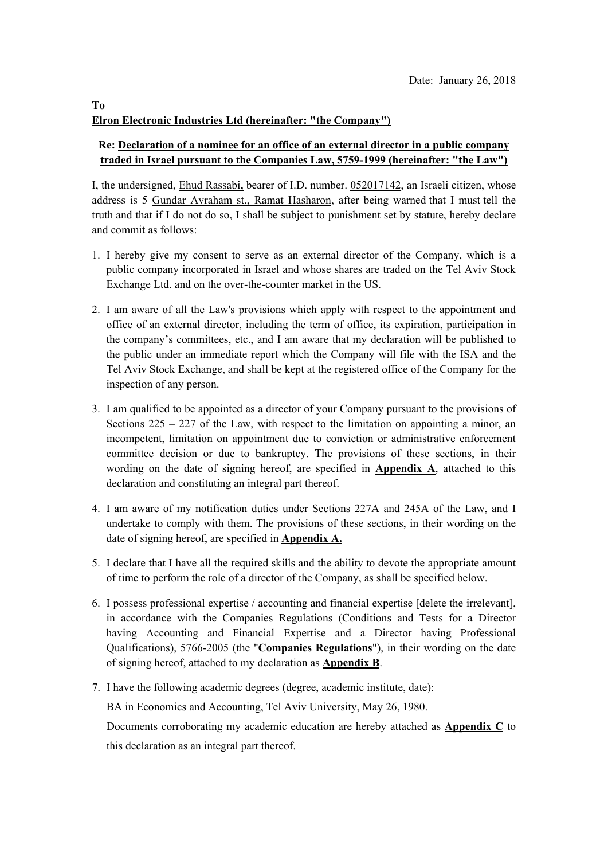# **Elron Electronic Industries Ltd (hereinafter: "the Company")**

# **Re: Declaration of a nominee for an office of an external director in a public company traded in Israel pursuant to the Companies Law, 5759-1999 (hereinafter: "the Law")**

I, the undersigned, Ehud Rassabi**,** bearer of I.D. number. 052017142, an Israeli citizen, whose address is 5 Gundar Avraham st., Ramat Hasharon, after being warned that I must tell the truth and that if I do not do so, I shall be subject to punishment set by statute, hereby declare and commit as follows:

- 1. I hereby give my consent to serve as an external director of the Company, which is a public company incorporated in Israel and whose shares are traded on the Tel Aviv Stock Exchange Ltd. and on the over-the-counter market in the US.
- 2. I am aware of all the Law's provisions which apply with respect to the appointment and office of an external director, including the term of office, its expiration, participation in the company's committees, etc., and I am aware that my declaration will be published to the public under an immediate report which the Company will file with the ISA and the Tel Aviv Stock Exchange, and shall be kept at the registered office of the Company for the inspection of any person.
- 3. I am qualified to be appointed as a director of your Company pursuant to the provisions of Sections  $225 - 227$  of the Law, with respect to the limitation on appointing a minor, an incompetent, limitation on appointment due to conviction or administrative enforcement committee decision or due to bankruptcy. The provisions of these sections, in their wording on the date of signing hereof, are specified in **Appendix A**, attached to this declaration and constituting an integral part thereof.
- 4. I am aware of my notification duties under Sections 227A and 245A of the Law, and I undertake to comply with them. The provisions of these sections, in their wording on the date of signing hereof, are specified in **Appendix A.**
- 5. I declare that I have all the required skills and the ability to devote the appropriate amount of time to perform the role of a director of the Company, as shall be specified below.
- 6. I possess professional expertise / accounting and financial expertise [delete the irrelevant], in accordance with the Companies Regulations (Conditions and Tests for a Director having Accounting and Financial Expertise and a Director having Professional Qualifications), 5766-2005 (the "**Companies Regulations**"), in their wording on the date of signing hereof, attached to my declaration as **Appendix B**.
- 7. I have the following academic degrees (degree, academic institute, date):

BA in Economics and Accounting, Tel Aviv University, May 26, 1980.

Documents corroborating my academic education are hereby attached as **Appendix C** to this declaration as an integral part thereof.

#### **To**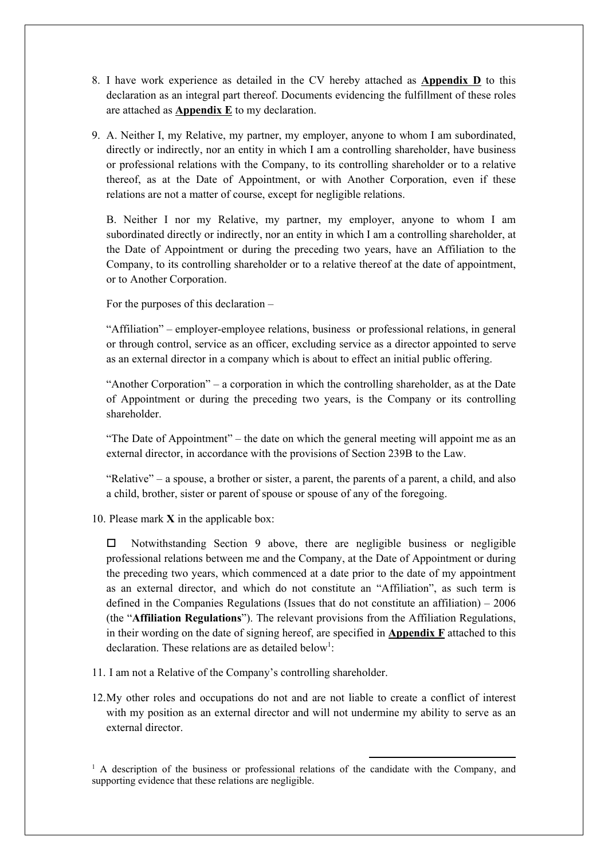- 8. I have work experience as detailed in the CV hereby attached as **Appendix D** to this declaration as an integral part thereof. Documents evidencing the fulfillment of these roles are attached as **Appendix E** to my declaration.
- 9. A. Neither I, my Relative, my partner, my employer, anyone to whom I am subordinated, directly or indirectly, nor an entity in which I am a controlling shareholder, have business or professional relations with the Company, to its controlling shareholder or to a relative thereof, as at the Date of Appointment, or with Another Corporation, even if these relations are not a matter of course, except for negligible relations.

B. Neither I nor my Relative, my partner, my employer, anyone to whom I am subordinated directly or indirectly, nor an entity in which I am a controlling shareholder, at the Date of Appointment or during the preceding two years, have an Affiliation to the Company, to its controlling shareholder or to a relative thereof at the date of appointment, or to Another Corporation.

For the purposes of this declaration –

"Affiliation" – employer-employee relations, business or professional relations, in general or through control, service as an officer, excluding service as a director appointed to serve as an external director in a company which is about to effect an initial public offering.

"Another Corporation" – a corporation in which the controlling shareholder, as at the Date of Appointment or during the preceding two years, is the Company or its controlling shareholder.

"The Date of Appointment" – the date on which the general meeting will appoint me as an external director, in accordance with the provisions of Section 239B to the Law.

"Relative" – a spouse, a brother or sister, a parent, the parents of a parent, a child, and also a child, brother, sister or parent of spouse or spouse of any of the foregoing.

10. Please mark **X** in the applicable box:

 $\Box$  Notwithstanding Section 9 above, there are negligible business or negligible professional relations between me and the Company, at the Date of Appointment or during the preceding two years, which commenced at a date prior to the date of my appointment as an external director, and which do not constitute an "Affiliation", as such term is defined in the Companies Regulations (Issues that do not constitute an affiliation) – 2006 (the "**Affiliation Regulations**"). The relevant provisions from the Affiliation Regulations, in their wording on the date of signing hereof, are specified in **Appendix F** attached to this declaration. These relations are as detailed below<sup>1</sup>:

- 11. I am not a Relative of the Company's controlling shareholder.
- 12.My other roles and occupations do not and are not liable to create a conflict of interest with my position as an external director and will not undermine my ability to serve as an external director.

<sup>&</sup>lt;sup>1</sup> A description of the business or professional relations of the candidate with the Company, and supporting evidence that these relations are negligible.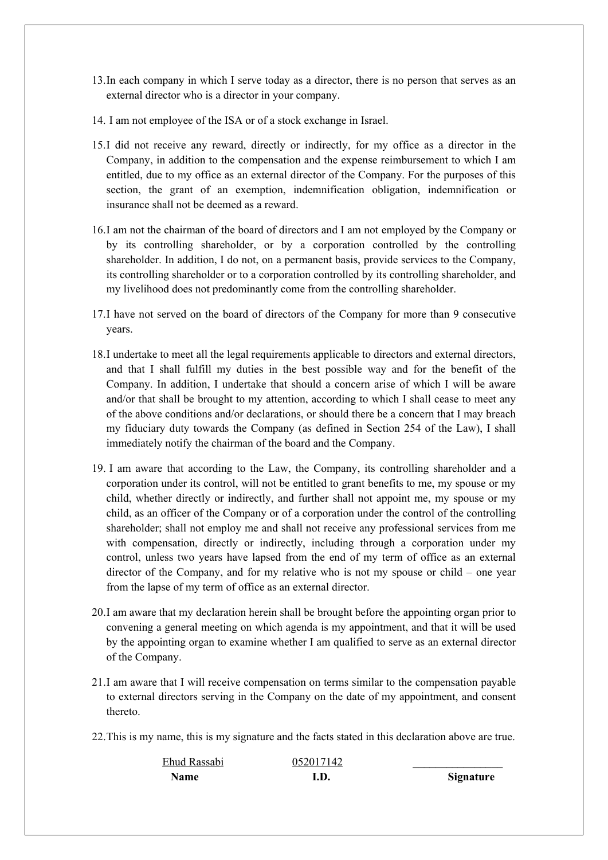- 13.In each company in which I serve today as a director, there is no person that serves as an external director who is a director in your company.
- 14. I am not employee of the ISA or of a stock exchange in Israel.
- 15.I did not receive any reward, directly or indirectly, for my office as a director in the Company, in addition to the compensation and the expense reimbursement to which I am entitled, due to my office as an external director of the Company. For the purposes of this section, the grant of an exemption, indemnification obligation, indemnification or insurance shall not be deemed as a reward.
- 16.I am not the chairman of the board of directors and I am not employed by the Company or by its controlling shareholder, or by a corporation controlled by the controlling shareholder. In addition, I do not, on a permanent basis, provide services to the Company, its controlling shareholder or to a corporation controlled by its controlling shareholder, and my livelihood does not predominantly come from the controlling shareholder.
- 17.I have not served on the board of directors of the Company for more than 9 consecutive years.
- 18.I undertake to meet all the legal requirements applicable to directors and external directors, and that I shall fulfill my duties in the best possible way and for the benefit of the Company. In addition, I undertake that should a concern arise of which I will be aware and/or that shall be brought to my attention, according to which I shall cease to meet any of the above conditions and/or declarations, or should there be a concern that I may breach my fiduciary duty towards the Company (as defined in Section 254 of the Law), I shall immediately notify the chairman of the board and the Company.
- 19. I am aware that according to the Law, the Company, its controlling shareholder and a corporation under its control, will not be entitled to grant benefits to me, my spouse or my child, whether directly or indirectly, and further shall not appoint me, my spouse or my child, as an officer of the Company or of a corporation under the control of the controlling shareholder; shall not employ me and shall not receive any professional services from me with compensation, directly or indirectly, including through a corporation under my control, unless two years have lapsed from the end of my term of office as an external director of the Company, and for my relative who is not my spouse or child – one year from the lapse of my term of office as an external director.
- 20.I am aware that my declaration herein shall be brought before the appointing organ prior to convening a general meeting on which agenda is my appointment, and that it will be used by the appointing organ to examine whether I am qualified to serve as an external director of the Company.
- 21.I am aware that I will receive compensation on terms similar to the compensation payable to external directors serving in the Company on the date of my appointment, and consent thereto.
- 22.This is my name, this is my signature and the facts stated in this declaration above are true.

| Ehud Rassabi | 052017142 |                  |
|--------------|-----------|------------------|
| <b>Name</b>  | I.D.      | <b>Signature</b> |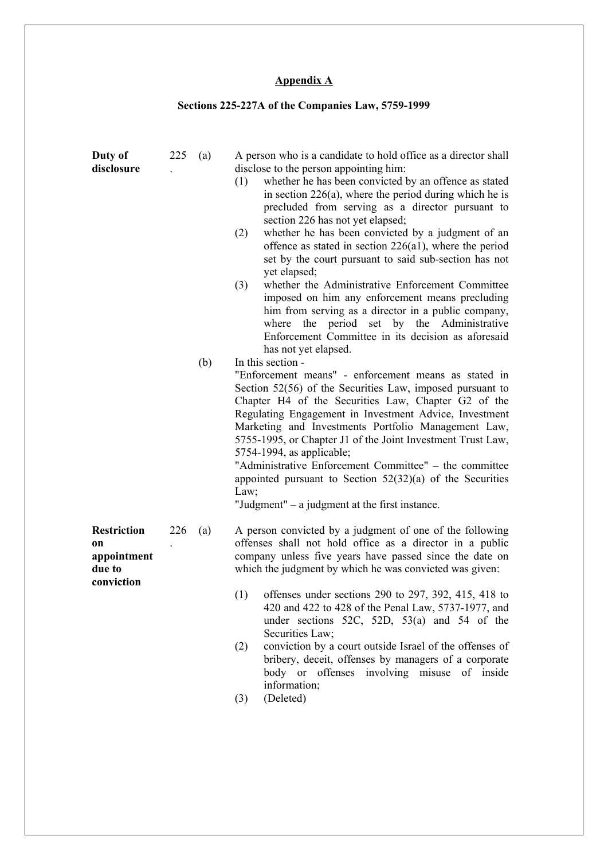# **Appendix A**

# **Sections 225-227A of the Companies Law, 5759-1999**

| Duty of<br>disclosure                                                  | 225 | (a) | A person who is a candidate to hold office as a director shall<br>disclose to the person appointing him:<br>whether he has been convicted by an offence as stated<br>(1)<br>in section $226(a)$ , where the period during which he is<br>precluded from serving as a director pursuant to<br>section 226 has not yet elapsed;<br>whether he has been convicted by a judgment of an<br>(2)<br>offence as stated in section $226(a1)$ , where the period<br>set by the court pursuant to said sub-section has not<br>yet elapsed;<br>(3)<br>whether the Administrative Enforcement Committee<br>imposed on him any enforcement means precluding<br>him from serving as a director in a public company,<br>where the period set by the Administrative<br>Enforcement Committee in its decision as aforesaid<br>has not yet elapsed. |
|------------------------------------------------------------------------|-----|-----|----------------------------------------------------------------------------------------------------------------------------------------------------------------------------------------------------------------------------------------------------------------------------------------------------------------------------------------------------------------------------------------------------------------------------------------------------------------------------------------------------------------------------------------------------------------------------------------------------------------------------------------------------------------------------------------------------------------------------------------------------------------------------------------------------------------------------------|
|                                                                        |     | (b) | In this section -<br>"Enforcement means" - enforcement means as stated in<br>Section 52(56) of the Securities Law, imposed pursuant to<br>Chapter H4 of the Securities Law, Chapter G2 of the<br>Regulating Engagement in Investment Advice, Investment<br>Marketing and Investments Portfolio Management Law,<br>5755-1995, or Chapter J1 of the Joint Investment Trust Law,<br>5754-1994, as applicable;<br>"Administrative Enforcement Committee" - the committee<br>appointed pursuant to Section $52(32)(a)$ of the Securities<br>Law;<br>"Judgment" $-$ a judgment at the first instance.                                                                                                                                                                                                                                  |
| <b>Restriction</b><br><b>on</b><br>appointment<br>due to<br>conviction | 226 | (a) | A person convicted by a judgment of one of the following<br>offenses shall not hold office as a director in a public<br>company unless five years have passed since the date on<br>which the judgment by which he was convicted was given:<br>offenses under sections 290 to 297, 392, 415, 418 to<br>(1)<br>420 and 422 to 428 of the Penal Law, 5737-1977, and<br>under sections $52C$ , $52D$ , $53(a)$ and $54$ of the<br>Securities Law;<br>conviction by a court outside Israel of the offenses of<br>(2)<br>bribery, deceit, offenses by managers of a corporate<br>body or offenses involving misuse of inside<br>information;<br>(Deleted)<br>(3)                                                                                                                                                                       |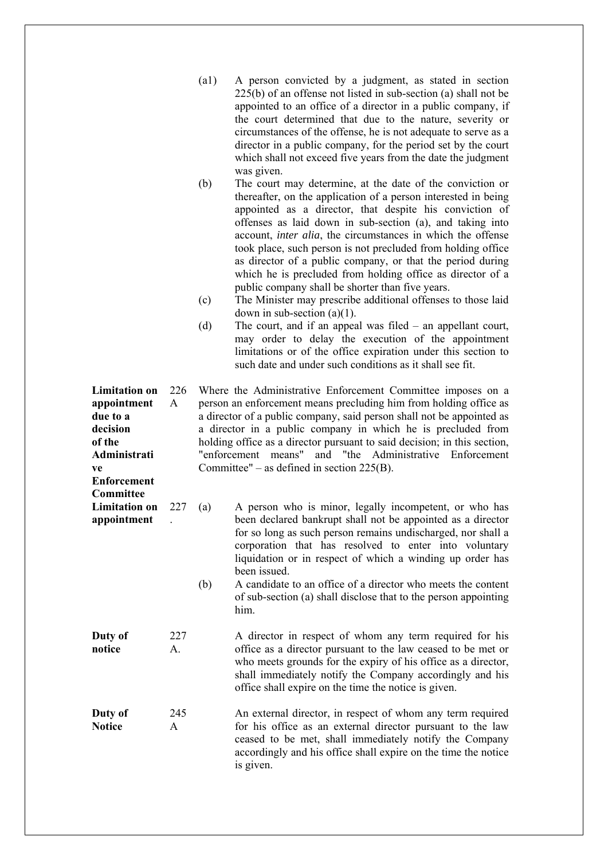|                                                                                                                   |           | (a1)<br>(b)<br>(c)<br>(d) | A person convicted by a judgment, as stated in section<br>$225(b)$ of an offense not listed in sub-section (a) shall not be<br>appointed to an office of a director in a public company, if<br>the court determined that due to the nature, severity or<br>circumstances of the offense, he is not adequate to serve as a<br>director in a public company, for the period set by the court<br>which shall not exceed five years from the date the judgment<br>was given.<br>The court may determine, at the date of the conviction or<br>thereafter, on the application of a person interested in being<br>appointed as a director, that despite his conviction of<br>offenses as laid down in sub-section (a), and taking into<br>account, inter alia, the circumstances in which the offense<br>took place, such person is not precluded from holding office<br>as director of a public company, or that the period during<br>which he is precluded from holding office as director of a<br>public company shall be shorter than five years.<br>The Minister may prescribe additional offenses to those laid<br>down in sub-section $(a)(1)$ .<br>The court, and if an appeal was filed $-$ an appellant court,<br>may order to delay the execution of the appointment<br>limitations or of the office expiration under this section to<br>such date and under such conditions as it shall see fit. |
|-------------------------------------------------------------------------------------------------------------------|-----------|---------------------------|-------------------------------------------------------------------------------------------------------------------------------------------------------------------------------------------------------------------------------------------------------------------------------------------------------------------------------------------------------------------------------------------------------------------------------------------------------------------------------------------------------------------------------------------------------------------------------------------------------------------------------------------------------------------------------------------------------------------------------------------------------------------------------------------------------------------------------------------------------------------------------------------------------------------------------------------------------------------------------------------------------------------------------------------------------------------------------------------------------------------------------------------------------------------------------------------------------------------------------------------------------------------------------------------------------------------------------------------------------------------------------------------------------|
| <b>Limitation on</b><br>appointment<br>due to a<br>decision<br>of the<br>Administrati<br>ve<br><b>Enforcement</b> | 226<br>A  |                           | Where the Administrative Enforcement Committee imposes on a<br>person an enforcement means precluding him from holding office as<br>a director of a public company, said person shall not be appointed as<br>a director in a public company in which he is precluded from<br>holding office as a director pursuant to said decision; in this section,<br>and "the Administrative Enforcement<br>"enforcement means"<br>Committee" – as defined in section $225(B)$ .                                                                                                                                                                                                                                                                                                                                                                                                                                                                                                                                                                                                                                                                                                                                                                                                                                                                                                                                  |
| Committee<br><b>Limitation on</b><br>appointment                                                                  | 227       | (a)<br>(b)                | A person who is minor, legally incompetent, or who has<br>been declared bankrupt shall not be appointed as a director<br>for so long as such person remains undischarged, nor shall a<br>corporation that has resolved to enter into voluntary<br>liquidation or in respect of which a winding up order has<br>been issued.<br>A candidate to an office of a director who meets the content<br>of sub-section (a) shall disclose that to the person appointing<br>him.                                                                                                                                                                                                                                                                                                                                                                                                                                                                                                                                                                                                                                                                                                                                                                                                                                                                                                                                |
| Duty of<br>notice                                                                                                 | 227<br>А. |                           | A director in respect of whom any term required for his<br>office as a director pursuant to the law ceased to be met or<br>who meets grounds for the expiry of his office as a director,<br>shall immediately notify the Company accordingly and his<br>office shall expire on the time the notice is given.                                                                                                                                                                                                                                                                                                                                                                                                                                                                                                                                                                                                                                                                                                                                                                                                                                                                                                                                                                                                                                                                                          |
| Duty of<br><b>Notice</b>                                                                                          | 245<br>A  |                           | An external director, in respect of whom any term required<br>for his office as an external director pursuant to the law<br>ceased to be met, shall immediately notify the Company<br>accordingly and his office shall expire on the time the notice<br>is given.                                                                                                                                                                                                                                                                                                                                                                                                                                                                                                                                                                                                                                                                                                                                                                                                                                                                                                                                                                                                                                                                                                                                     |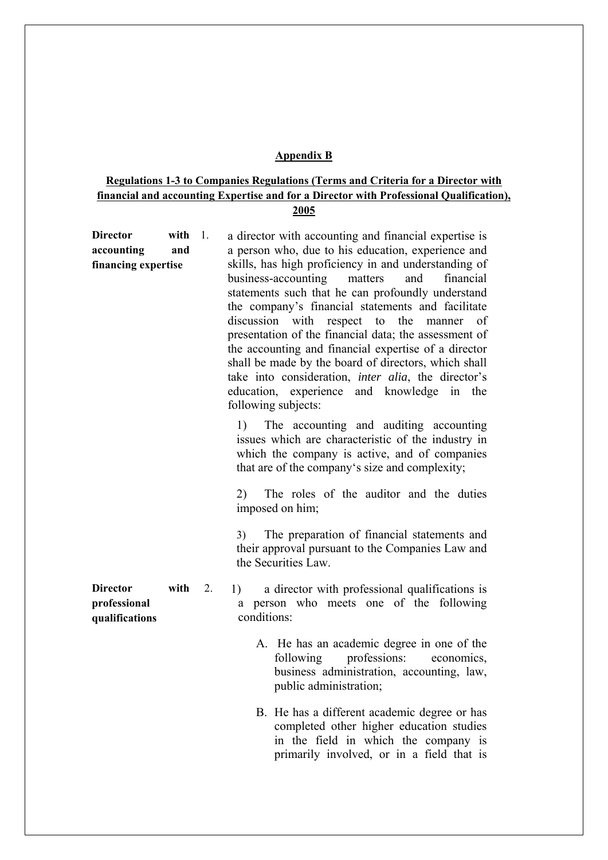#### **Appendix B**

# **Regulations 1-3 to Companies Regulations (Terms and Criteria for a Director with financial and accounting Expertise and for a Director with Professional Qualification), 2005**

| <b>Director</b>                                   | with | $\overline{1}$ . | a director with accounting and financial expertise is                                                                                                                                                                                                                                                                                                                                                                                                                                                                                                                         |
|---------------------------------------------------|------|------------------|-------------------------------------------------------------------------------------------------------------------------------------------------------------------------------------------------------------------------------------------------------------------------------------------------------------------------------------------------------------------------------------------------------------------------------------------------------------------------------------------------------------------------------------------------------------------------------|
| accounting                                        | and  |                  | a person who, due to his education, experience and                                                                                                                                                                                                                                                                                                                                                                                                                                                                                                                            |
| financing expertise                               |      |                  | skills, has high proficiency in and understanding of<br>business-accounting<br>matters<br>and<br>financial<br>statements such that he can profoundly understand<br>the company's financial statements and facilitate<br>discussion with respect to the manner of<br>presentation of the financial data; the assessment of<br>the accounting and financial expertise of a director<br>shall be made by the board of directors, which shall<br>take into consideration, <i>inter alia</i> , the director's<br>education, experience and knowledge in the<br>following subjects: |
|                                                   |      |                  | The accounting and auditing accounting<br>1)<br>issues which are characteristic of the industry in<br>which the company is active, and of companies<br>that are of the company's size and complexity;                                                                                                                                                                                                                                                                                                                                                                         |
|                                                   |      |                  | The roles of the auditor and the duties<br>2)<br>imposed on him;                                                                                                                                                                                                                                                                                                                                                                                                                                                                                                              |
|                                                   |      |                  | The preparation of financial statements and<br>3)<br>their approval pursuant to the Companies Law and<br>the Securities Law.                                                                                                                                                                                                                                                                                                                                                                                                                                                  |
| <b>Director</b><br>professional<br>qualifications | with | 2.               | a director with professional qualifications is<br>1)<br>person who meets one of the following<br>a<br>conditions:                                                                                                                                                                                                                                                                                                                                                                                                                                                             |
|                                                   |      |                  |                                                                                                                                                                                                                                                                                                                                                                                                                                                                                                                                                                               |

- A. He has an academic degree in one of the following professions: economics, business administration, accounting, law, public administration;
- B. He has a different academic degree or has completed other higher education studies in the field in which the company is primarily involved, or in a field that is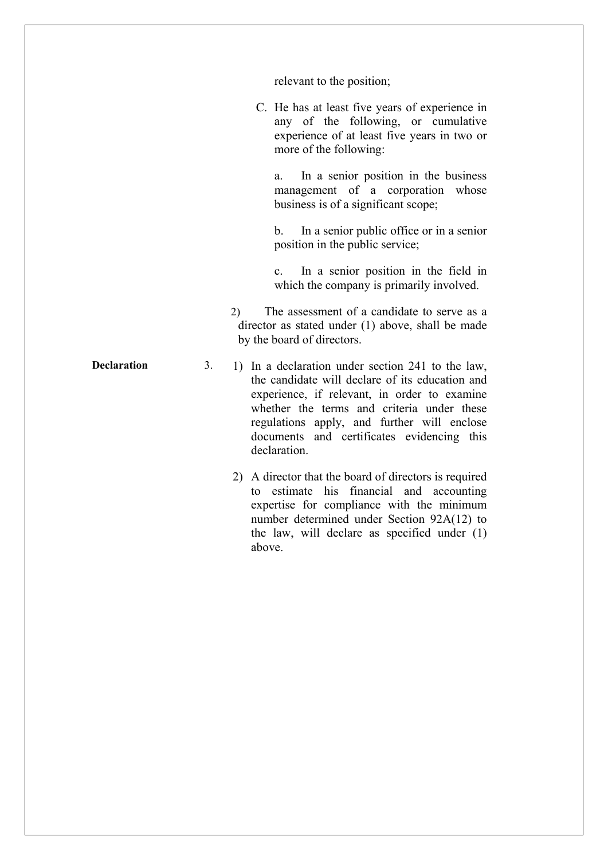relevant to the position;

C. He has at least five years of experience in any of the following, or cumulative experience of at least five years in two or more of the following:

a. In a senior position in the business management of a corporation whose business is of a significant scope;

b. In a senior public office or in a senior position in the public service;

c. In a senior position in the field in which the company is primarily involved.

2) The assessment of a candidate to serve as a director as stated under (1) above, shall be made by the board of directors.

**Declaration** 3. 1) In a declaration under section 241 to the law, the candidate will declare of its education and experience, if relevant, in order to examine whether the terms and criteria under these regulations apply, and further will enclose documents and certificates evidencing this declaration.

> 2) A director that the board of directors is required to estimate his financial and accounting expertise for compliance with the minimum number determined under Section 92A(12) to the law, will declare as specified under (1) above.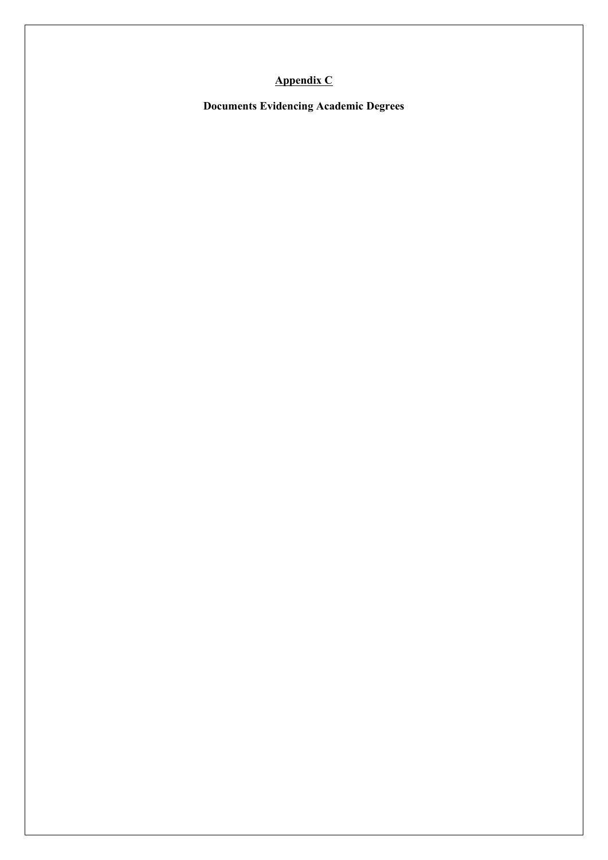# **Appendix C**

**Documents Evidencing Academic Degrees**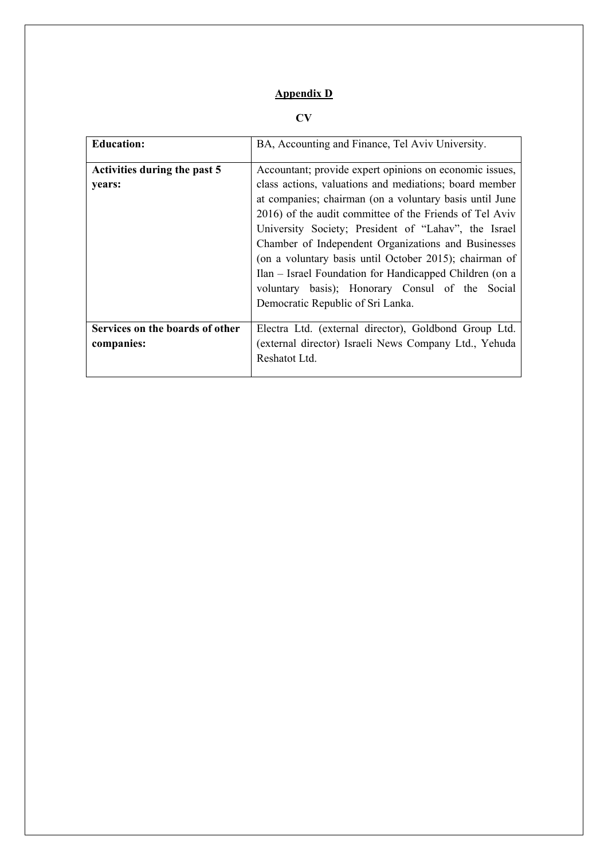# **Appendix D**

# **CV**

| <b>Education:</b>               | BA, Accounting and Finance, Tel Aviv University.        |  |  |  |  |
|---------------------------------|---------------------------------------------------------|--|--|--|--|
| Activities during the past 5    | Accountant; provide expert opinions on economic issues, |  |  |  |  |
| vears:                          | class actions, valuations and mediations; board member  |  |  |  |  |
|                                 | at companies; chairman (on a voluntary basis until June |  |  |  |  |
|                                 | 2016) of the audit committee of the Friends of Tel Aviv |  |  |  |  |
|                                 | University Society; President of "Lahav", the Israel    |  |  |  |  |
|                                 | Chamber of Independent Organizations and Businesses     |  |  |  |  |
|                                 | (on a voluntary basis until October 2015); chairman of  |  |  |  |  |
|                                 | Ilan – Israel Foundation for Handicapped Children (on a |  |  |  |  |
|                                 | voluntary basis); Honorary Consul of the Social         |  |  |  |  |
|                                 | Democratic Republic of Sri Lanka.                       |  |  |  |  |
|                                 |                                                         |  |  |  |  |
| Services on the boards of other | Electra Ltd. (external director), Goldbond Group Ltd.   |  |  |  |  |
| companies:                      | (external director) Israeli News Company Ltd., Yehuda   |  |  |  |  |
|                                 | Reshatot Ltd.                                           |  |  |  |  |
|                                 |                                                         |  |  |  |  |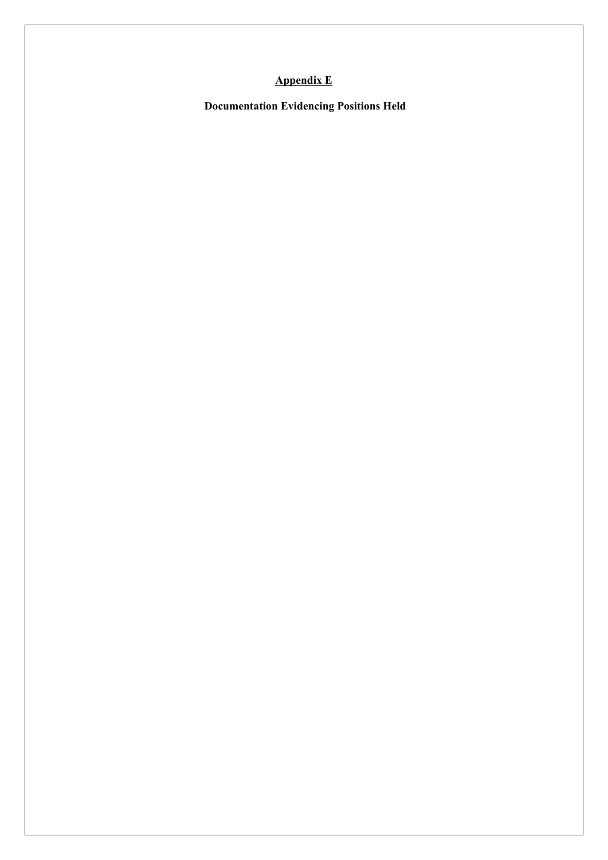# **Appendix E**

 **Documentation Evidencing Positions Held**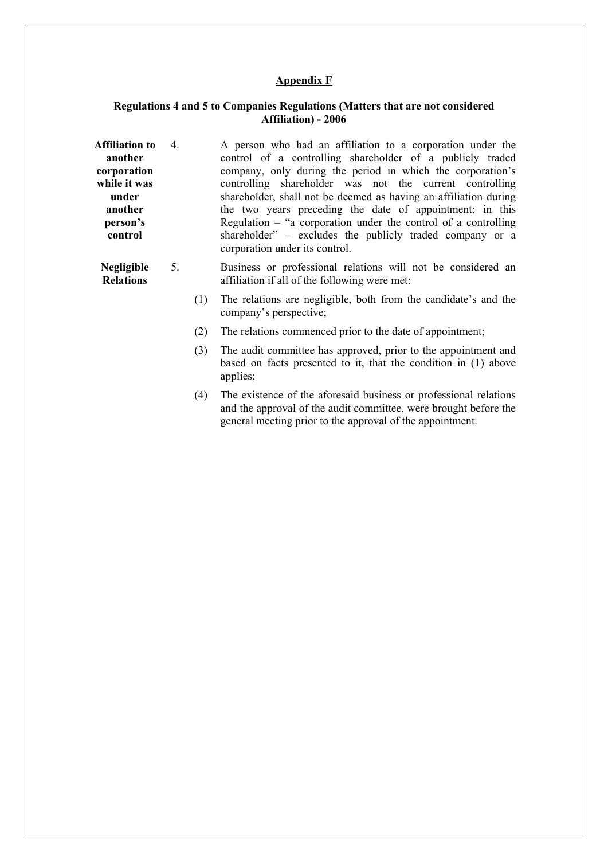#### **Appendix F**

#### **Regulations 4 and 5 to Companies Regulations (Matters that are not considered Affiliation) - 2006**

- **Affiliation to another corporation while it was under another person's control**  4. A person who had an affiliation to a corporation under the control of a controlling shareholder of a publicly traded company, only during the period in which the corporation's controlling shareholder was not the current controlling shareholder, shall not be deemed as having an affiliation during the two years preceding the date of appointment; in this Regulation – "a corporation under the control of a controlling shareholder" – excludes the publicly traded company or a corporation under its control.
	- **Negligible Relations**  5. Business or professional relations will not be considered an affiliation if all of the following were met:
		- (1) The relations are negligible, both from the candidate's and the company's perspective;
		- (2) The relations commenced prior to the date of appointment;
		- (3) The audit committee has approved, prior to the appointment and based on facts presented to it, that the condition in (1) above applies;
		- (4) The existence of the aforesaid business or professional relations and the approval of the audit committee, were brought before the general meeting prior to the approval of the appointment.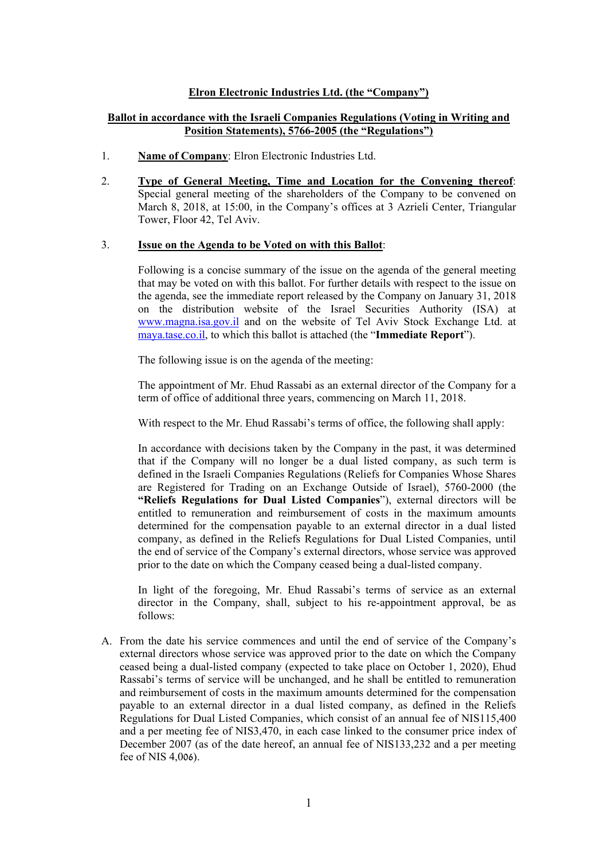#### **Elron Electronic Industries Ltd. (the "Company")**

#### **Ballot in accordance with the Israeli Companies Regulations (Voting in Writing and Position Statements), 5766-2005 (the "Regulations")**

- 1. **Name of Company**: Elron Electronic Industries Ltd.
- 2. **Type of General Meeting, Time and Location for the Convening thereof**: Special general meeting of the shareholders of the Company to be convened on March 8, 2018, at 15:00, in the Company's offices at 3 Azrieli Center, Triangular Tower, Floor 42, Tel Aviv.

#### 3. **Issue on the Agenda to be Voted on with this Ballot**:

Following is a concise summary of the issue on the agenda of the general meeting that may be voted on with this ballot. For further details with respect to the issue on the agenda, see the immediate report released by the Company on January 31, 2018 on the distribution website of the Israel Securities Authority (ISA) at www.magna.isa.gov.il and on the website of Tel Aviv Stock Exchange Ltd. at maya.tase.co.il, to which this ballot is attached (the "**Immediate Report**").

The following issue is on the agenda of the meeting:

The appointment of Mr. Ehud Rassabi as an external director of the Company for a term of office of additional three years, commencing on March 11, 2018.

With respect to the Mr. Ehud Rassabi's terms of office, the following shall apply:

In accordance with decisions taken by the Company in the past, it was determined that if the Company will no longer be a dual listed company, as such term is defined in the Israeli Companies Regulations (Reliefs for Companies Whose Shares are Registered for Trading on an Exchange Outside of Israel), 5760-2000 (the **"Reliefs Regulations for Dual Listed Companies**"), external directors will be entitled to remuneration and reimbursement of costs in the maximum amounts determined for the compensation payable to an external director in a dual listed company, as defined in the Reliefs Regulations for Dual Listed Companies, until the end of service of the Company's external directors, whose service was approved prior to the date on which the Company ceased being a dual-listed company.

In light of the foregoing, Mr. Ehud Rassabi's terms of service as an external director in the Company, shall, subject to his re-appointment approval, be as follows:

A. From the date his service commences and until the end of service of the Company's external directors whose service was approved prior to the date on which the Company ceased being a dual-listed company (expected to take place on October 1, 2020), Ehud Rassabi's terms of service will be unchanged, and he shall be entitled to remuneration and reimbursement of costs in the maximum amounts determined for the compensation payable to an external director in a dual listed company, as defined in the Reliefs Regulations for Dual Listed Companies, which consist of an annual fee of NIS115,400 and a per meeting fee of NIS3,470, in each case linked to the consumer price index of December 2007 (as of the date hereof, an annual fee of NIS133,232 and a per meeting fee of NIS 4,006).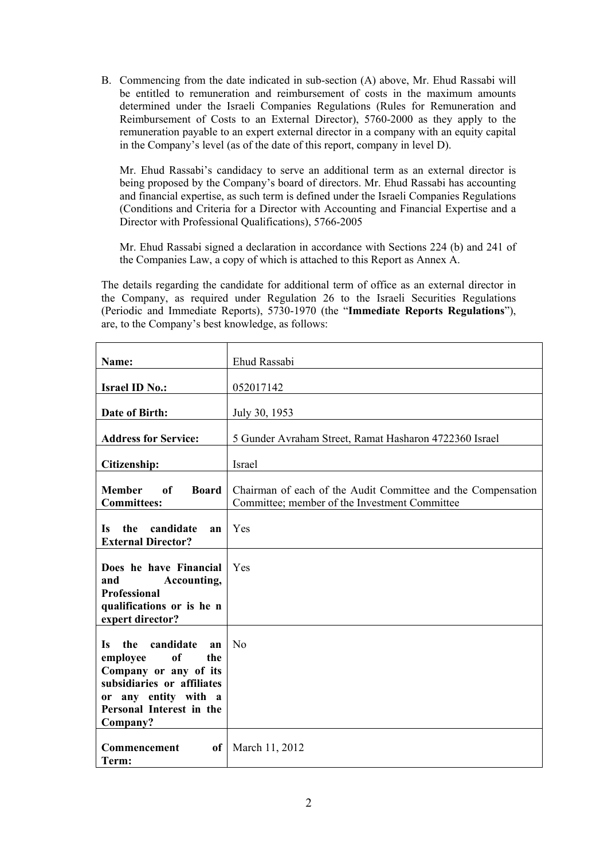B. Commencing from the date indicated in sub-section (A) above, Mr. Ehud Rassabi will be entitled to remuneration and reimbursement of costs in the maximum amounts determined under the Israeli Companies Regulations (Rules for Remuneration and Reimbursement of Costs to an External Director), 5760-2000 as they apply to the remuneration payable to an expert external director in a company with an equity capital in the Company's level (as of the date of this report, company in level D).

Mr. Ehud Rassabi's candidacy to serve an additional term as an external director is being proposed by the Company's board of directors. Mr. Ehud Rassabi has accounting and financial expertise, as such term is defined under the Israeli Companies Regulations (Conditions and Criteria for a Director with Accounting and Financial Expertise and a Director with Professional Qualifications), 5766-2005

Mr. Ehud Rassabi signed a declaration in accordance with Sections 224 (b) and 241 of the Companies Law, a copy of which is attached to this Report as Annex A.

The details regarding the candidate for additional term of office as an external director in the Company, as required under Regulation 26 to the Israeli Securities Regulations (Periodic and Immediate Reports), 5730-1970 (the "**Immediate Reports Regulations**"), are, to the Company's best knowledge, as follows:

| Name:                                                                                                                                                                               | Ehud Rassabi                                                                                                  |
|-------------------------------------------------------------------------------------------------------------------------------------------------------------------------------------|---------------------------------------------------------------------------------------------------------------|
| <b>Israel ID No.:</b>                                                                                                                                                               | 052017142                                                                                                     |
| Date of Birth:                                                                                                                                                                      | July 30, 1953                                                                                                 |
| <b>Address for Service:</b>                                                                                                                                                         | 5 Gunder Avraham Street, Ramat Hasharon 4722360 Israel                                                        |
| Citizenship:                                                                                                                                                                        | Israel                                                                                                        |
| <b>Member</b><br>of<br><b>Board</b><br><b>Committees:</b>                                                                                                                           | Chairman of each of the Audit Committee and the Compensation<br>Committee: member of the Investment Committee |
| candidate<br>the<br><b>Is</b><br>an<br><b>External Director?</b>                                                                                                                    | Yes                                                                                                           |
| Does he have Financial<br>and<br>Accounting,<br><b>Professional</b><br>qualifications or is he n<br>expert director?                                                                | Yes                                                                                                           |
| candidate<br><b>Is</b><br>the<br>an<br>of<br>employee<br>the<br>Company or any of its<br>subsidiaries or affiliates<br>or any entity with a<br>Personal Interest in the<br>Company? | No                                                                                                            |
| Commencement<br>of<br>Term:                                                                                                                                                         | March 11, 2012                                                                                                |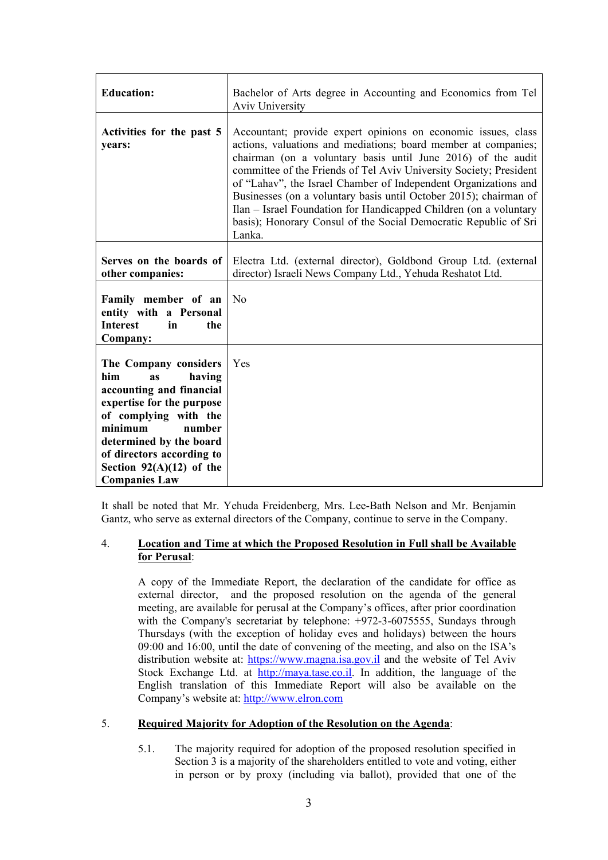| <b>Education:</b>                                                                                                                                                                                                                                                 | Bachelor of Arts degree in Accounting and Economics from Tel<br>Aviv University                                                                                                                                                                                                                                                                                                                                                                                                                                                                                  |
|-------------------------------------------------------------------------------------------------------------------------------------------------------------------------------------------------------------------------------------------------------------------|------------------------------------------------------------------------------------------------------------------------------------------------------------------------------------------------------------------------------------------------------------------------------------------------------------------------------------------------------------------------------------------------------------------------------------------------------------------------------------------------------------------------------------------------------------------|
| Activities for the past 5<br>years:                                                                                                                                                                                                                               | Accountant; provide expert opinions on economic issues, class<br>actions, valuations and mediations; board member at companies;<br>chairman (on a voluntary basis until June 2016) of the audit<br>committee of the Friends of Tel Aviv University Society; President<br>of "Lahav", the Israel Chamber of Independent Organizations and<br>Businesses (on a voluntary basis until October 2015); chairman of<br>Ilan – Israel Foundation for Handicapped Children (on a voluntary<br>basis); Honorary Consul of the Social Democratic Republic of Sri<br>Lanka. |
| Serves on the boards of<br>other companies:                                                                                                                                                                                                                       | Electra Ltd. (external director), Goldbond Group Ltd. (external<br>director) Israeli News Company Ltd., Yehuda Reshatot Ltd.                                                                                                                                                                                                                                                                                                                                                                                                                                     |
| Family member of an<br>entity with a Personal<br><b>Interest</b><br>in<br>the<br>Company:                                                                                                                                                                         | No                                                                                                                                                                                                                                                                                                                                                                                                                                                                                                                                                               |
| The Company considers<br>him<br>having<br>as<br>accounting and financial<br>expertise for the purpose<br>of complying with the<br>number<br>minimum<br>determined by the board<br>of directors according to<br>Section $92(A)(12)$ of the<br><b>Companies Law</b> | Yes                                                                                                                                                                                                                                                                                                                                                                                                                                                                                                                                                              |

It shall be noted that Mr. Yehuda Freidenberg, Mrs. Lee-Bath Nelson and Mr. Benjamin Gantz, who serve as external directors of the Company, continue to serve in the Company.

#### 4. **Location and Time at which the Proposed Resolution in Full shall be Available for Perusal**:

A copy of the Immediate Report, the declaration of the candidate for office as external director, and the proposed resolution on the agenda of the general meeting, are available for perusal at the Company's offices, after prior coordination with the Company's secretariat by telephone: +972-3-6075555, Sundays through Thursdays (with the exception of holiday eves and holidays) between the hours 09:00 and 16:00, until the date of convening of the meeting, and also on the ISA's distribution website at: https://www.magna.isa.gov.il and the website of Tel Aviv Stock Exchange Ltd. at http://maya.tase.co.il. In addition, the language of the English translation of this Immediate Report will also be available on the Company's website at: http://www.elron.com

#### 5. **Required Majority for Adoption of the Resolution on the Agenda**:

5.1. The majority required for adoption of the proposed resolution specified in Section 3 is a majority of the shareholders entitled to vote and voting, either in person or by proxy (including via ballot), provided that one of the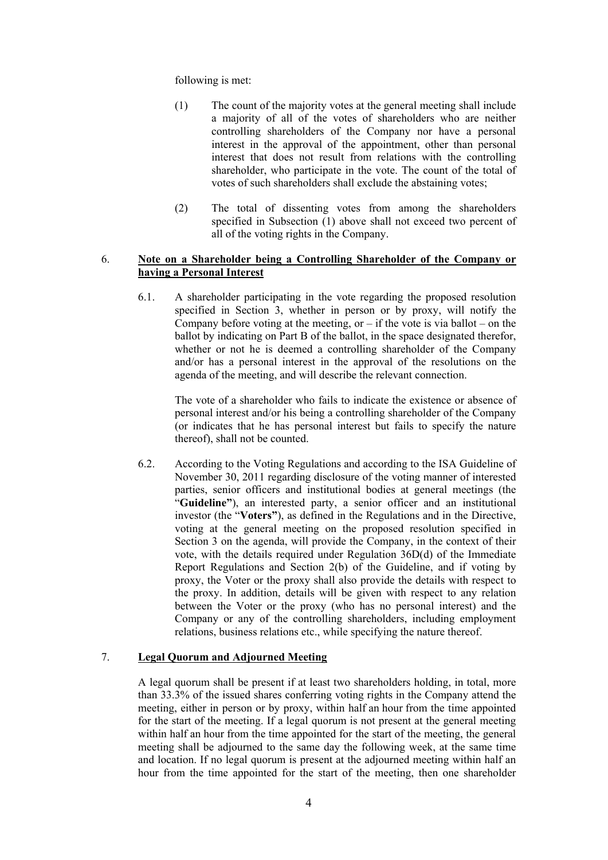following is met:

- (1) The count of the majority votes at the general meeting shall include a majority of all of the votes of shareholders who are neither controlling shareholders of the Company nor have a personal interest in the approval of the appointment, other than personal interest that does not result from relations with the controlling shareholder, who participate in the vote. The count of the total of votes of such shareholders shall exclude the abstaining votes;
- (2) The total of dissenting votes from among the shareholders specified in Subsection (1) above shall not exceed two percent of all of the voting rights in the Company.

#### 6. **Note on a Shareholder being a Controlling Shareholder of the Company or having a Personal Interest**

6.1. A shareholder participating in the vote regarding the proposed resolution specified in Section 3, whether in person or by proxy, will notify the Company before voting at the meeting, or  $-$  if the vote is via ballot  $-$  on the ballot by indicating on Part B of the ballot, in the space designated therefor, whether or not he is deemed a controlling shareholder of the Company and/or has a personal interest in the approval of the resolutions on the agenda of the meeting, and will describe the relevant connection.

The vote of a shareholder who fails to indicate the existence or absence of personal interest and/or his being a controlling shareholder of the Company (or indicates that he has personal interest but fails to specify the nature thereof), shall not be counted.

6.2. According to the Voting Regulations and according to the ISA Guideline of November 30, 2011 regarding disclosure of the voting manner of interested parties, senior officers and institutional bodies at general meetings (the "**Guideline"**), an interested party, a senior officer and an institutional investor (the "**Voters"**), as defined in the Regulations and in the Directive, voting at the general meeting on the proposed resolution specified in Section 3 on the agenda, will provide the Company, in the context of their vote, with the details required under Regulation 36D(d) of the Immediate Report Regulations and Section 2(b) of the Guideline, and if voting by proxy, the Voter or the proxy shall also provide the details with respect to the proxy. In addition, details will be given with respect to any relation between the Voter or the proxy (who has no personal interest) and the Company or any of the controlling shareholders, including employment relations, business relations etc., while specifying the nature thereof.

#### 7. **Legal Quorum and Adjourned Meeting**

A legal quorum shall be present if at least two shareholders holding, in total, more than 33.3% of the issued shares conferring voting rights in the Company attend the meeting, either in person or by proxy, within half an hour from the time appointed for the start of the meeting. If a legal quorum is not present at the general meeting within half an hour from the time appointed for the start of the meeting, the general meeting shall be adjourned to the same day the following week, at the same time and location. If no legal quorum is present at the adjourned meeting within half an hour from the time appointed for the start of the meeting, then one shareholder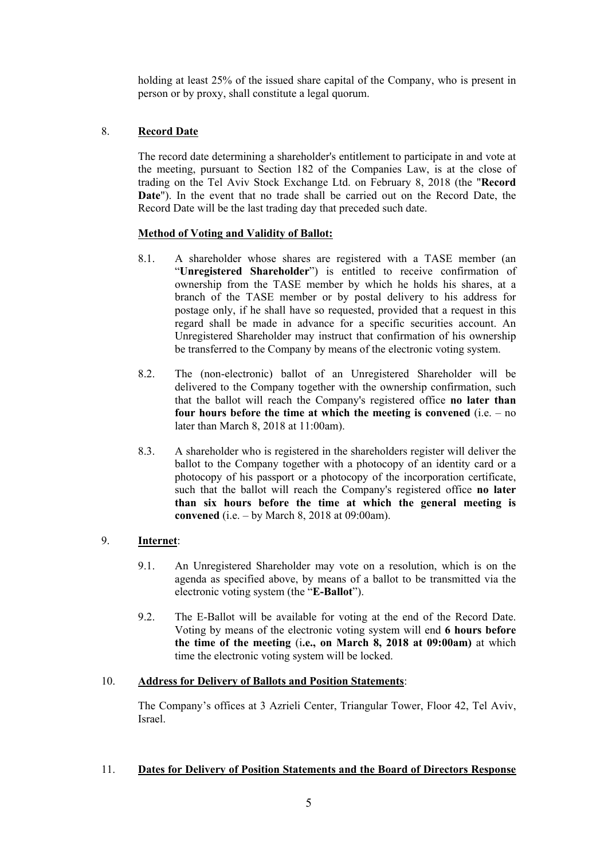holding at least 25% of the issued share capital of the Company, who is present in person or by proxy, shall constitute a legal quorum.

# 8. **Record Date**

The record date determining a shareholder's entitlement to participate in and vote at the meeting, pursuant to Section 182 of the Companies Law, is at the close of trading on the Tel Aviv Stock Exchange Ltd. on February 8, 2018 (the "**Record Date**"). In the event that no trade shall be carried out on the Record Date, the Record Date will be the last trading day that preceded such date.

## **Method of Voting and Validity of Ballot:**

- 8.1. A shareholder whose shares are registered with a TASE member (an "**Unregistered Shareholder**") is entitled to receive confirmation of ownership from the TASE member by which he holds his shares, at a branch of the TASE member or by postal delivery to his address for postage only, if he shall have so requested, provided that a request in this regard shall be made in advance for a specific securities account. An Unregistered Shareholder may instruct that confirmation of his ownership be transferred to the Company by means of the electronic voting system.
- 8.2. The (non-electronic) ballot of an Unregistered Shareholder will be delivered to the Company together with the ownership confirmation, such that the ballot will reach the Company's registered office **no later than four hours before the time at which the meeting is convened** (i.e. – no later than March 8, 2018 at 11:00am).
- 8.3. A shareholder who is registered in the shareholders register will deliver the ballot to the Company together with a photocopy of an identity card or a photocopy of his passport or a photocopy of the incorporation certificate, such that the ballot will reach the Company's registered office **no later than six hours before the time at which the general meeting is convened** (i.e. – by March 8, 2018 at 09:00am).

# 9. **Internet**:

- 9.1. An Unregistered Shareholder may vote on a resolution, which is on the agenda as specified above, by means of a ballot to be transmitted via the electronic voting system (the "**E-Ballot**").
- 9.2. The E-Ballot will be available for voting at the end of the Record Date. Voting by means of the electronic voting system will end **6 hours before the time of the meeting** (i**.e., on March 8, 2018 at 09:00am)** at which time the electronic voting system will be locked.

# 10. **Address for Delivery of Ballots and Position Statements**:

The Company's offices at 3 Azrieli Center, Triangular Tower, Floor 42, Tel Aviv, Israel.

#### 11. **Dates for Delivery of Position Statements and the Board of Directors Response**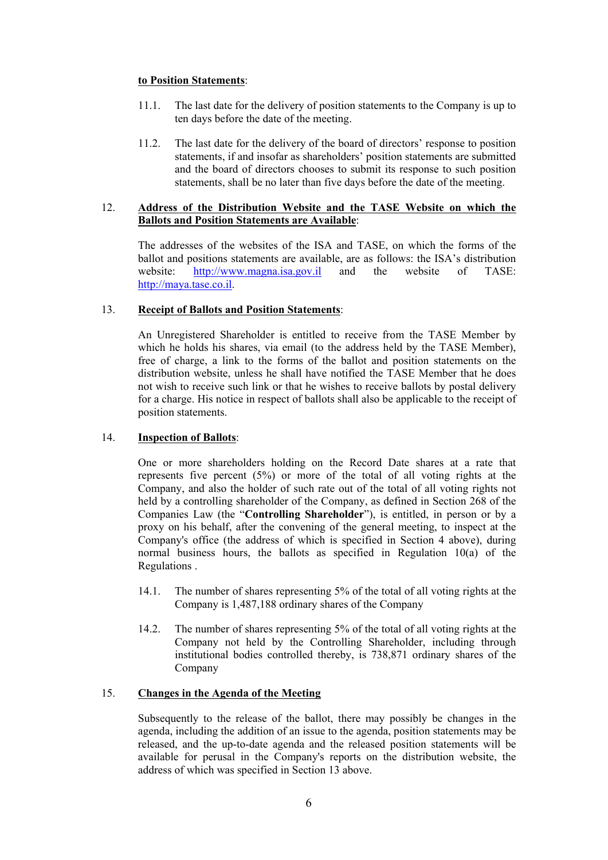#### **to Position Statements**:

- 11.1. The last date for the delivery of position statements to the Company is up to ten days before the date of the meeting.
- 11.2. The last date for the delivery of the board of directors' response to position statements, if and insofar as shareholders' position statements are submitted and the board of directors chooses to submit its response to such position statements, shall be no later than five days before the date of the meeting.

#### 12. **Address of the Distribution Website and the TASE Website on which the Ballots and Position Statements are Available**:

The addresses of the websites of the ISA and TASE, on which the forms of the ballot and positions statements are available, are as follows: the ISA's distribution<br>website: http://www.magna.jsa.gov.il and the website of TASE: website: http://www.magna.isa.gov.il and the website of TASE: http://maya.tase.co.il.

#### 13. **Receipt of Ballots and Position Statements**:

An Unregistered Shareholder is entitled to receive from the TASE Member by which he holds his shares, via email (to the address held by the TASE Member), free of charge, a link to the forms of the ballot and position statements on the distribution website, unless he shall have notified the TASE Member that he does not wish to receive such link or that he wishes to receive ballots by postal delivery for a charge. His notice in respect of ballots shall also be applicable to the receipt of position statements.

#### 14. **Inspection of Ballots**:

One or more shareholders holding on the Record Date shares at a rate that represents five percent (5%) or more of the total of all voting rights at the Company, and also the holder of such rate out of the total of all voting rights not held by a controlling shareholder of the Company, as defined in Section 268 of the Companies Law (the "**Controlling Shareholder**"), is entitled, in person or by a proxy on his behalf, after the convening of the general meeting, to inspect at the Company's office (the address of which is specified in Section 4 above), during normal business hours, the ballots as specified in Regulation 10(a) of the Regulations .

- 14.1. The number of shares representing 5% of the total of all voting rights at the Company is 1,487,188 ordinary shares of the Company
- 14.2. The number of shares representing 5% of the total of all voting rights at the Company not held by the Controlling Shareholder, including through institutional bodies controlled thereby, is 738,871 ordinary shares of the Company

#### 15. **Changes in the Agenda of the Meeting**

Subsequently to the release of the ballot, there may possibly be changes in the agenda, including the addition of an issue to the agenda, position statements may be released, and the up-to-date agenda and the released position statements will be available for perusal in the Company's reports on the distribution website, the address of which was specified in Section 13 above.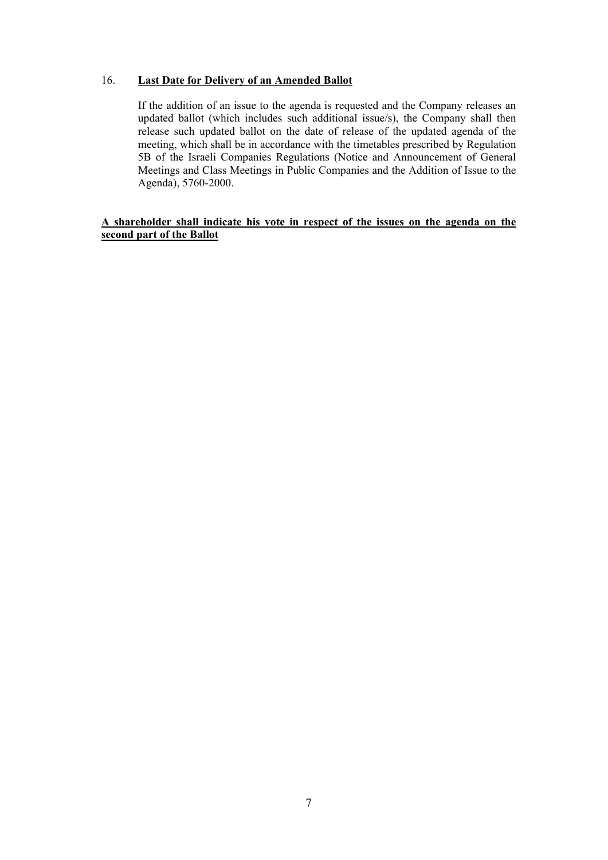## 16. **Last Date for Delivery of an Amended Ballot**

If the addition of an issue to the agenda is requested and the Company releases an updated ballot (which includes such additional issue/s), the Company shall then release such updated ballot on the date of release of the updated agenda of the meeting, which shall be in accordance with the timetables prescribed by Regulation 5B of the Israeli Companies Regulations (Notice and Announcement of General Meetings and Class Meetings in Public Companies and the Addition of Issue to the Agenda), 5760-2000.

## **A shareholder shall indicate his vote in respect of the issues on the agenda on the second part of the Ballot**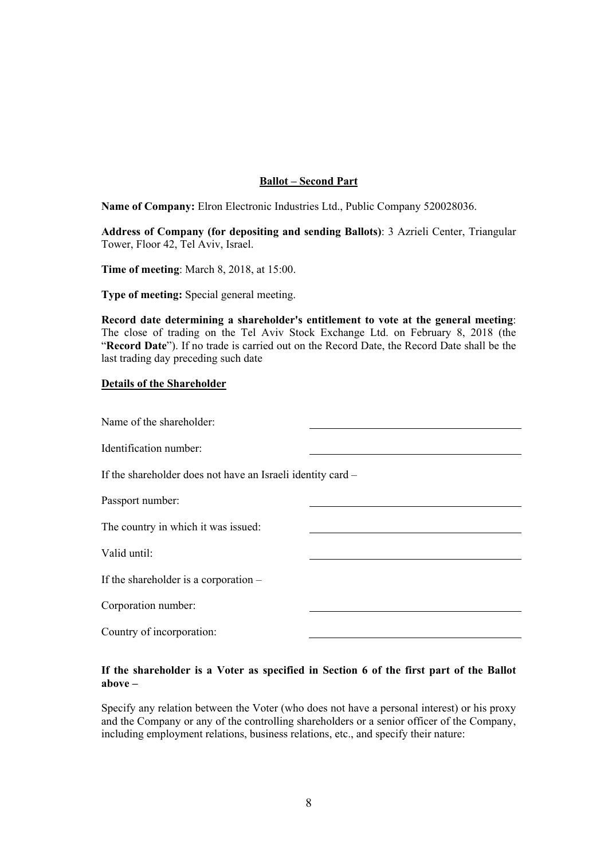## **Ballot – Second Part**

**Name of Company:** Elron Electronic Industries Ltd., Public Company 520028036.

**Address of Company (for depositing and sending Ballots)**: 3 Azrieli Center, Triangular Tower, Floor 42, Tel Aviv, Israel.

**Time of meeting**: March 8, 2018, at 15:00.

**Type of meeting:** Special general meeting.

**Record date determining a shareholder's entitlement to vote at the general meeting**: The close of trading on the Tel Aviv Stock Exchange Ltd. on February 8, 2018 (the "**Record Date**"). If no trade is carried out on the Record Date, the Record Date shall be the last trading day preceding such date

#### **Details of the Shareholder**

| Name of the shareholder:                                    |  |
|-------------------------------------------------------------|--|
| Identification number:                                      |  |
| If the shareholder does not have an Israeli identity card – |  |
| Passport number:                                            |  |
| The country in which it was issued:                         |  |
| Valid until:                                                |  |
| If the shareholder is a corporation $-$                     |  |
| Corporation number:                                         |  |
| Country of incorporation:                                   |  |
|                                                             |  |

#### **If the shareholder is a Voter as specified in Section 6 of the first part of the Ballot above –**

Specify any relation between the Voter (who does not have a personal interest) or his proxy and the Company or any of the controlling shareholders or a senior officer of the Company, including employment relations, business relations, etc., and specify their nature: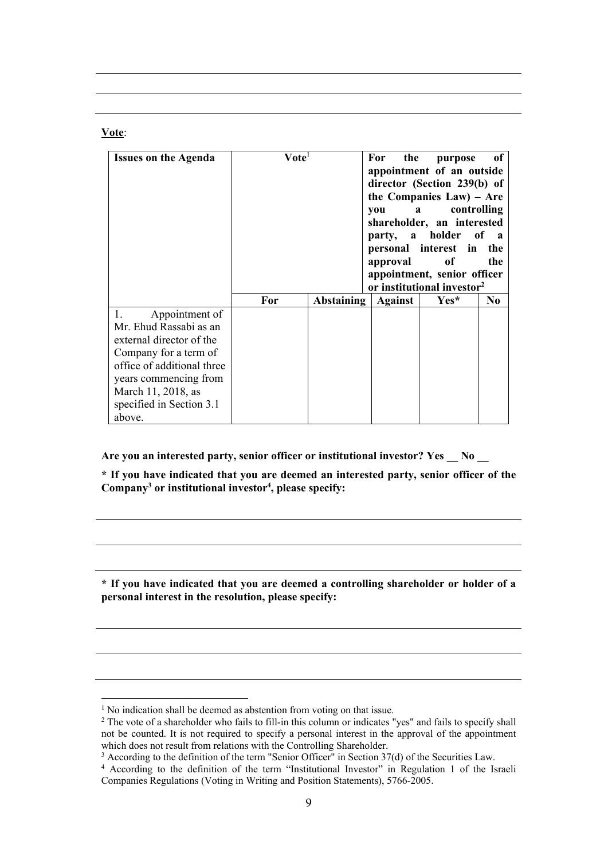#### **Vote**:

 $\overline{a}$ 

| <b>Issues on the Agenda</b>                                                                                                                                                                                      | $\mathbf{V}$ ote $^{\text{\tiny{I}}}$ |            | For<br>the<br>you<br>party, a holder<br>approval | purpose<br>appointment of an outside<br>director (Section 239(b) of<br>the Companies Law) - Are<br>controlling<br>$\mathbf{a}$<br>shareholder, an interested<br>personal interest in<br>of<br>appointment, senior officer<br>or institutional investor <sup>2</sup> | of<br>of a<br>the<br>the |
|------------------------------------------------------------------------------------------------------------------------------------------------------------------------------------------------------------------|---------------------------------------|------------|--------------------------------------------------|---------------------------------------------------------------------------------------------------------------------------------------------------------------------------------------------------------------------------------------------------------------------|--------------------------|
|                                                                                                                                                                                                                  | For                                   | Abstaining | <b>Against</b>                                   | Yes*                                                                                                                                                                                                                                                                | N <sub>0</sub>           |
| Appointment of<br>Mr. Ehud Rassabi as an<br>external director of the<br>Company for a term of<br>office of additional three<br>years commencing from<br>March 11, 2018, as<br>specified in Section 3.1<br>above. |                                       |            |                                                  |                                                                                                                                                                                                                                                                     |                          |

**Are you an interested party, senior officer or institutional investor? Yes \_\_ No \_\_** 

**\* If you have indicated that you are deemed an interested party, senior officer of the**  Company<sup>3</sup> or institutional investor<sup>4</sup>, please specify:

**\* If you have indicated that you are deemed a controlling shareholder or holder of a personal interest in the resolution, please specify:** 

<sup>&</sup>lt;sup>1</sup> No indication shall be deemed as abstention from voting on that issue.<br><sup>2</sup> The vote of a shareholder who fails to fill in this column or indicates.<sup>"</sup>

<sup>&</sup>lt;sup>2</sup> The vote of a shareholder who fails to fill-in this column or indicates "yes" and fails to specify shall not be counted. It is not required to specify a personal interest in the approval of the appointment which does not result from relations with the Controlling Shareholder.

<sup>&</sup>lt;sup>3</sup> According to the definition of the term "Senior Officer" in Section 37(d) of the Securities Law.<br><sup>4</sup> According to the definition of the term "Institutional Investor" in Regulation 1 of the Is

<sup>&</sup>lt;sup>4</sup> According to the definition of the term "Institutional Investor" in Regulation 1 of the Israeli Companies Regulations (Voting in Writing and Position Statements), 5766-2005.